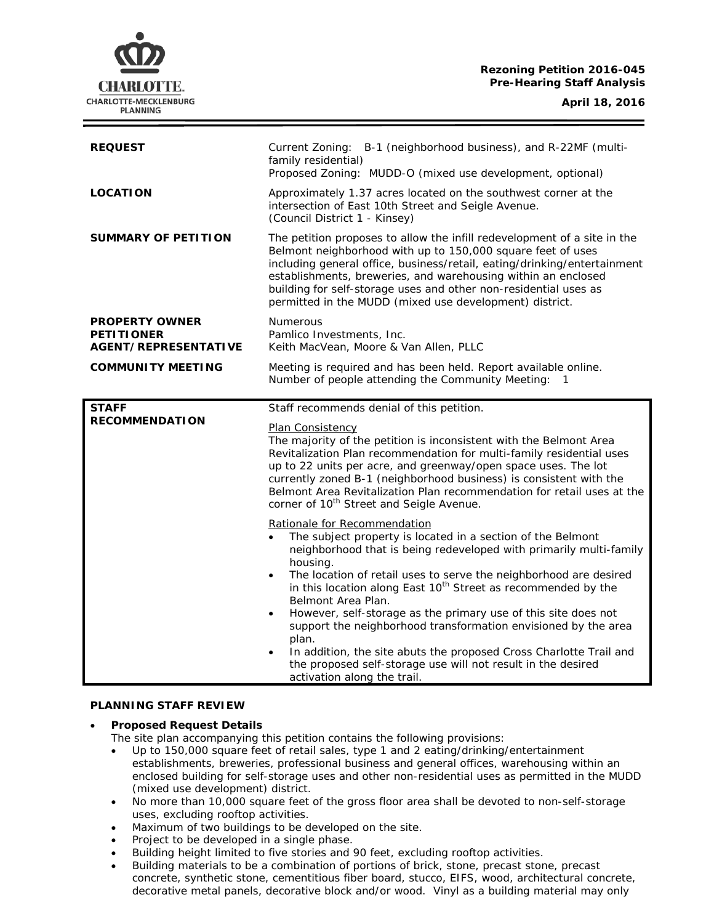## **Rezoning Petition 2016-045 Pre-Hearing Staff Analysis**



| <b>REQUEST</b>                                                     | B-1 (neighborhood business), and R-22MF (multi-<br>Current Zoning:<br>family residential)<br>Proposed Zoning: MUDD-O (mixed use development, optional)                                                                                                                                                                                                                                                                                          |
|--------------------------------------------------------------------|-------------------------------------------------------------------------------------------------------------------------------------------------------------------------------------------------------------------------------------------------------------------------------------------------------------------------------------------------------------------------------------------------------------------------------------------------|
| <b>LOCATION</b>                                                    | Approximately 1.37 acres located on the southwest corner at the<br>intersection of East 10th Street and Seigle Avenue.<br>(Council District 1 - Kinsey)                                                                                                                                                                                                                                                                                         |
| <b>SUMMARY OF PETITION</b>                                         | The petition proposes to allow the infill redevelopment of a site in the<br>Belmont neighborhood with up to 150,000 square feet of uses<br>including general office, business/retail, eating/drinking/entertainment<br>establishments, breweries, and warehousing within an enclosed<br>building for self-storage uses and other non-residential uses as<br>permitted in the MUDD (mixed use development) district.                             |
| <b>PROPERTY OWNER</b><br><b>PETITIONER</b><br>AGENT/REPRESENTATIVE | Numerous<br>Pamlico Investments, Inc.<br>Keith MacVean, Moore & Van Allen, PLLC                                                                                                                                                                                                                                                                                                                                                                 |
| <b>COMMUNITY MEETING</b>                                           | Meeting is required and has been held. Report available online.<br>Number of people attending the Community Meeting:<br>$\overline{1}$                                                                                                                                                                                                                                                                                                          |
| <b>STAFF</b>                                                       | Staff recommends denial of this petition.                                                                                                                                                                                                                                                                                                                                                                                                       |
| <b>RECOMMENDATION</b>                                              | <b>Plan Consistency</b><br>The majority of the petition is inconsistent with the Belmont Area<br>Revitalization Plan recommendation for multi-family residential uses<br>up to 22 units per acre, and greenway/open space uses. The lot<br>currently zoned B-1 (neighborhood business) is consistent with the<br>Belmont Area Revitalization Plan recommendation for retail uses at the<br>corner of 10 <sup>th</sup> Street and Seigle Avenue. |
|                                                                    | Rationale for Recommendation<br>The subject property is located in a section of the Belmont                                                                                                                                                                                                                                                                                                                                                     |

### **PLANNING STAFF REVIEW**

## • **Proposed Request Details**

The site plan accompanying this petition contains the following provisions:

- Up to 150,000 square feet of retail sales, type 1 and 2 eating/drinking/entertainment establishments, breweries, professional business and general offices, warehousing within an enclosed building for self-storage uses and other non-residential uses as permitted in the MUDD (mixed use development) district.
- No more than 10,000 square feet of the gross floor area shall be devoted to non-self-storage uses, excluding rooftop activities.
- Maximum of two buildings to be developed on the site.
- Project to be developed in a single phase.
- Building height limited to five stories and 90 feet, excluding rooftop activities.
- Building materials to be a combination of portions of brick, stone, precast stone, precast concrete, synthetic stone, cementitious fiber board, stucco, EIFS, wood, architectural concrete, decorative metal panels, decorative block and/or wood. Vinyl as a building material may only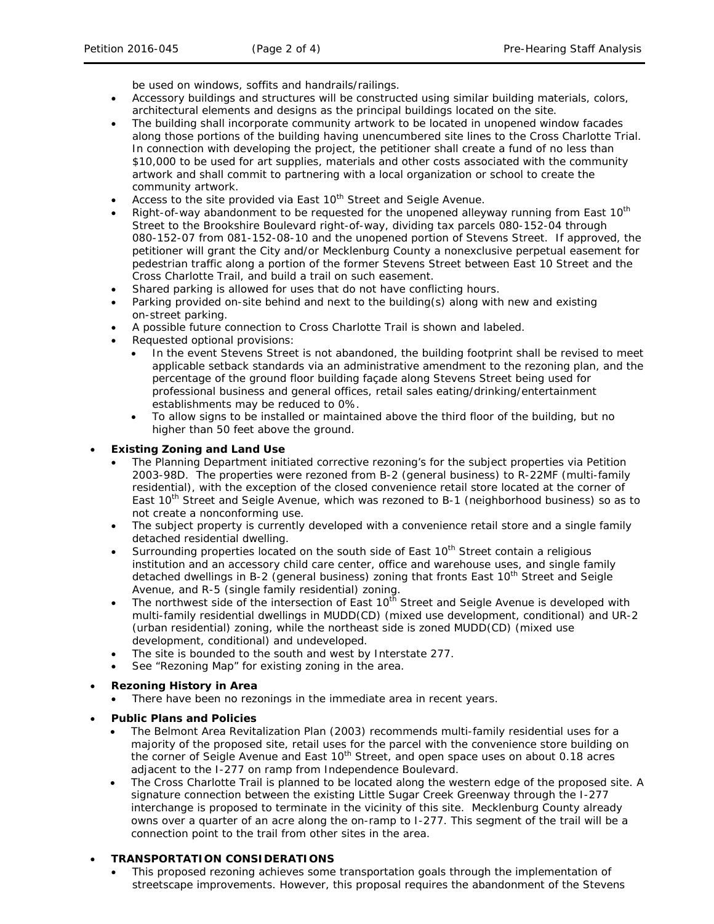be used on windows, soffits and handrails/railings.

- Accessory buildings and structures will be constructed using similar building materials, colors, architectural elements and designs as the principal buildings located on the site.
- The building shall incorporate community artwork to be located in unopened window facades along those portions of the building having unencumbered site lines to the Cross Charlotte Trial. In connection with developing the project, the petitioner shall create a fund of no less than \$10,000 to be used for art supplies, materials and other costs associated with the community artwork and shall commit to partnering with a local organization or school to create the community artwork.
- Access to the site provided via East 10<sup>th</sup> Street and Seigle Avenue.
- Right-of-way abandonment to be requested for the unopened alleyway running from East 10<sup>th</sup> Street to the Brookshire Boulevard right-of-way, dividing tax parcels 080-152-04 through 080-152-07 from 081-152-08-10 and the unopened portion of Stevens Street. If approved, the petitioner will grant the City and/or Mecklenburg County a nonexclusive perpetual easement for pedestrian traffic along a portion of the former Stevens Street between East 10 Street and the Cross Charlotte Trail, and build a trail on such easement.
- Shared parking is allowed for uses that do not have conflicting hours.
- Parking provided on-site behind and next to the building(s) along with new and existing on-street parking.
- A possible future connection to Cross Charlotte Trail is shown and labeled.
- Requested optional provisions:
	- In the event Stevens Street is not abandoned, the building footprint shall be revised to meet applicable setback standards via an administrative amendment to the rezoning plan, and the percentage of the ground floor building façade along Stevens Street being used for professional business and general offices, retail sales eating/drinking/entertainment establishments may be reduced to 0%.
	- To allow signs to be installed or maintained above the third floor of the building, but no higher than 50 feet above the ground.

## • **Existing Zoning and Land Use**

- The Planning Department initiated corrective rezoning's for the subject properties via Petition 2003-98D. The properties were rezoned from B-2 (general business) to R-22MF (multi-family residential), with the exception of the closed convenience retail store located at the corner of East 10<sup>th</sup> Street and Seigle Avenue, which was rezoned to B-1 (neighborhood business) so as to not create a nonconforming use.
- The subject property is currently developed with a convenience retail store and a single family detached residential dwelling.
- Surrounding properties located on the south side of East 10<sup>th</sup> Street contain a religious institution and an accessory child care center, office and warehouse uses, and single family detached dwellings in B-2 (general business) zoning that fronts East 10<sup>th</sup> Street and Seigle Avenue, and R-5 (single family residential) zoning.
- The northwest side of the intersection of East  $10<sup>th</sup>$  Street and Seigle Avenue is developed with multi-family residential dwellings in MUDD(CD) (mixed use development, conditional) and UR-2 (urban residential) zoning, while the northeast side is zoned MUDD(CD) (mixed use development, conditional) and undeveloped.
- The site is bounded to the south and west by Interstate 277.
- See "Rezoning Map" for existing zoning in the area.
- **Rezoning History in Area**
	- There have been no rezonings in the immediate area in recent years.
- **Public Plans and Policies**
	- The *Belmont Area Revitalization Plan* (2003) recommends multi-family residential uses for a majority of the proposed site, retail uses for the parcel with the convenience store building on the corner of Seigle Avenue and East  $10^{th}$  Street, and open space uses on about 0.18 acres adjacent to the I-277 on ramp from Independence Boulevard.
	- The Cross Charlotte Trail is planned to be located along the western edge of the proposed site. A signature connection between the existing Little Sugar Creek Greenway through the I-277 interchange is proposed to terminate in the vicinity of this site. Mecklenburg County already owns over a quarter of an acre along the on-ramp to I-277. This segment of the trail will be a connection point to the trail from other sites in the area.

# • **TRANSPORTATION CONSIDERATIONS**

• This proposed rezoning achieves some transportation goals through the implementation of streetscape improvements. However, this proposal requires the abandonment of the Stevens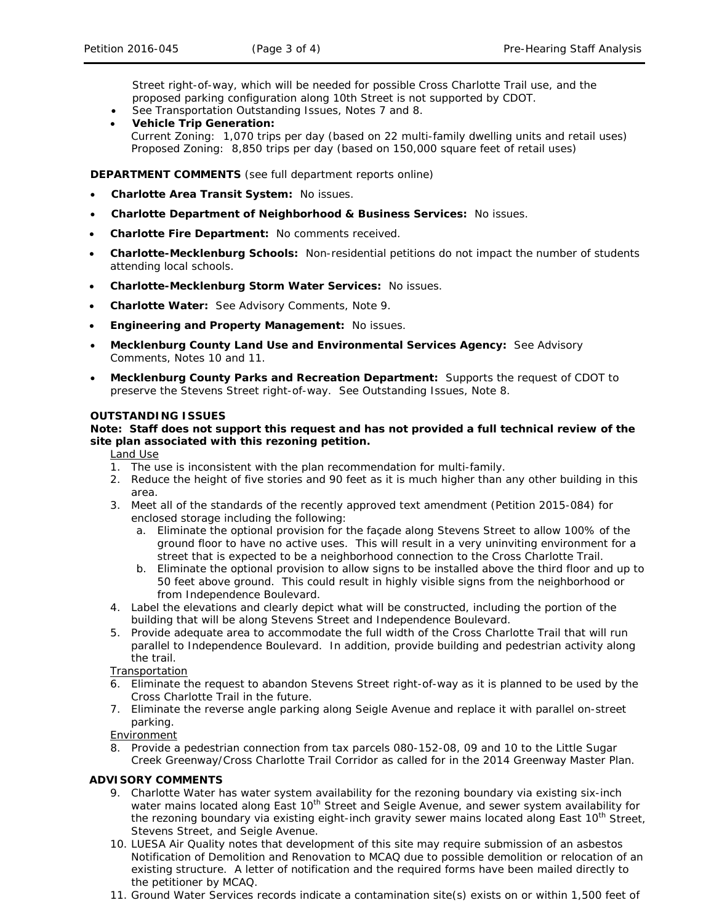Street right-of-way, which will be needed for possible Cross Charlotte Trail use, and the proposed parking configuration along 10th Street is not supported by CDOT.

- See Transportation Outstanding Issues, Notes 7 and 8.
- **Vehicle Trip Generation:** Current Zoning: 1,070 trips per day (based on 22 multi-family dwelling units and retail uses) Proposed Zoning: 8,850 trips per day (based on 150,000 square feet of retail uses)

**DEPARTMENT COMMENTS** (see full department reports online)

- **Charlotte Area Transit System:** No issues.
- **Charlotte Department of Neighborhood & Business Services:** No issues.
- **Charlotte Fire Department:** No comments received.
- **Charlotte-Mecklenburg Schools:** Non-residential petitions do not impact the number of students attending local schools.
- **Charlotte-Mecklenburg Storm Water Services:** No issues.
- **Charlotte Water:** See Advisory Comments, Note 9.
- **Engineering and Property Management:** No issues.
- **Mecklenburg County Land Use and Environmental Services Agency:** See Advisory Comments, Notes 10 and 11.
- **Mecklenburg County Parks and Recreation Department:** Supports the request of CDOT to preserve the Stevens Street right-of-way. See Outstanding Issues, Note 8.

### **OUTSTANDING ISSUES**

## **Note: Staff does not support this request and has not provided a full technical review of the site plan associated with this rezoning petition.**

Land Use

- 1. The use is inconsistent with the plan recommendation for multi-family.
- 2. Reduce the height of five stories and 90 feet as it is much higher than any other building in this area.
- 3. Meet all of the standards of the recently approved text amendment (Petition 2015-084) for enclosed storage including the following:
	- a. Eliminate the optional provision for the façade along Stevens Street to allow 100% of the ground floor to have no active uses. This will result in a very uninviting environment for a street that is expected to be a neighborhood connection to the Cross Charlotte Trail.
	- b. Eliminate the optional provision to allow signs to be installed above the third floor and up to 50 feet above ground. This could result in highly visible signs from the neighborhood or from Independence Boulevard.
- 4. Label the elevations and clearly depict what will be constructed, including the portion of the building that will be along Stevens Street and Independence Boulevard.
- 5. Provide adequate area to accommodate the full width of the Cross Charlotte Trail that will run parallel to Independence Boulevard. In addition, provide building and pedestrian activity along the trail.

**Transportation** 

- 6. Eliminate the request to abandon Stevens Street right-of-way as it is planned to be used by the Cross Charlotte Trail in the future.
- 7. Eliminate the reverse angle parking along Seigle Avenue and replace it with parallel on-street parking.

Environment

8. Provide a pedestrian connection from tax parcels 080-152-08, 09 and 10 to the Little Sugar Creek Greenway/Cross Charlotte Trail Corridor as called for in the 2014 Greenway Master Plan.

### **ADVISORY COMMENTS**

- 9. Charlotte Water has water system availability for the rezoning boundary via existing six-inch water mains located along East 10<sup>th</sup> Street and Seigle Avenue, and sewer system availability for the rezoning boundary via existing eight-inch gravity sewer mains located along East 10<sup>th</sup> Street, Stevens Street, and Seigle Avenue.
- 10. LUESA Air Quality notes that development of this site may require submission of an asbestos Notification of Demolition and Renovation to MCAQ due to possible demolition or relocation of an existing structure. A letter of notification and the required forms have been mailed directly to the petitioner by MCAQ.
- 11. Ground Water Services records indicate a contamination site(s) exists on or within 1,500 feet of